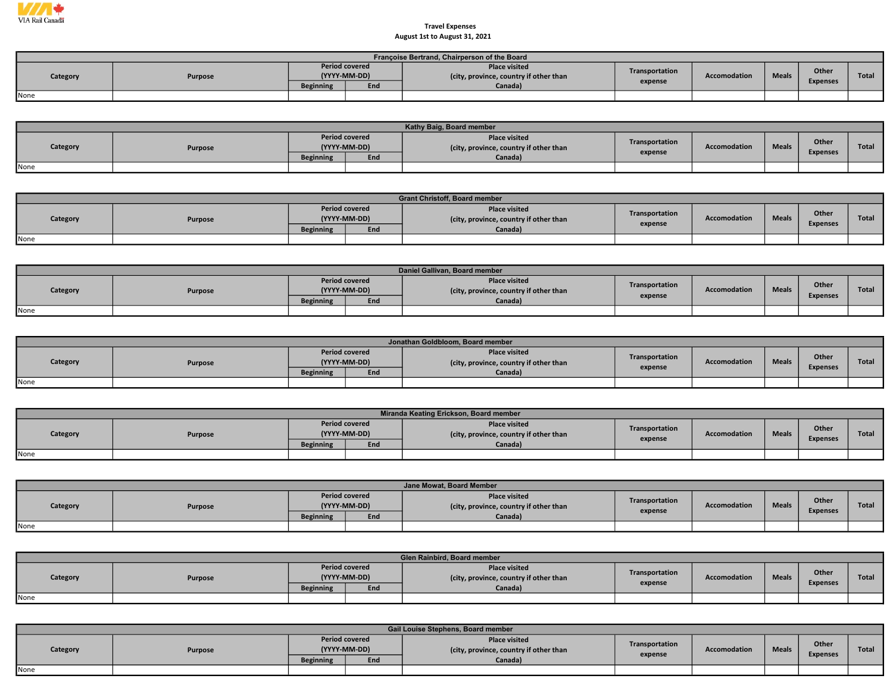

## Travel Expenses August 1st to August 31, 2021

|          | Françoise Bertrand, Chairperson of the Board |                                       |     |                                                                |                |                     |              |                 |       |  |  |  |  |  |
|----------|----------------------------------------------|---------------------------------------|-----|----------------------------------------------------------------|----------------|---------------------|--------------|-----------------|-------|--|--|--|--|--|
| Category | Purpose                                      | <b>Period covered</b><br>(YYYY-MM-DD) |     | <b>Place visited</b><br>(city, province, country if other than | Transportation | <b>Accomodation</b> | <b>Meals</b> | Other           | Total |  |  |  |  |  |
|          |                                              | <b>Beginning</b>                      | End | Canada)                                                        | expense        |                     |              | <b>Expenses</b> |       |  |  |  |  |  |
| None     |                                              |                                       |     |                                                                |                |                     |              |                 |       |  |  |  |  |  |

|          | Kathy Baig, Board member |                                       |     |                                                                |                |                     |              |                          |              |  |  |  |  |
|----------|--------------------------|---------------------------------------|-----|----------------------------------------------------------------|----------------|---------------------|--------------|--------------------------|--------------|--|--|--|--|
| Category | Purpose                  | <b>Period covered</b><br>(YYYY-MM-DD) |     | <b>Place visited</b><br>(city, province, country if other than | Transportation | <b>Accomodation</b> | <b>Meals</b> | Other<br><b>Expenses</b> | <b>Total</b> |  |  |  |  |
|          |                          | <b>Beginning</b>                      | End | Canada)                                                        | expense        |                     |              |                          |              |  |  |  |  |
| None     |                          |                                       |     |                                                                |                |                     |              |                          |              |  |  |  |  |

|          | <b>Grant Christoff, Board member</b> |                                       |     |                                                                |                |                     |              |                          |              |  |  |  |  |
|----------|--------------------------------------|---------------------------------------|-----|----------------------------------------------------------------|----------------|---------------------|--------------|--------------------------|--------------|--|--|--|--|
| Category | Purpose                              | <b>Period covered</b><br>(YYYY-MM-DD) |     | <b>Place visited</b><br>(city, province, country if other than | Transportation | <b>Accomodation</b> | <b>Meals</b> | Other<br><b>Expenses</b> | <b>Total</b> |  |  |  |  |
|          |                                      | <b>Beginning</b>                      | End | Canada)                                                        | expense        |                     |              |                          |              |  |  |  |  |
| None     |                                      |                                       |     |                                                                |                |                     |              |                          |              |  |  |  |  |

|          | Daniel Gallivan, Board member |                  |                                       |                                                                |                |              |              |                 |              |  |  |  |  |
|----------|-------------------------------|------------------|---------------------------------------|----------------------------------------------------------------|----------------|--------------|--------------|-----------------|--------------|--|--|--|--|
| Category | Purpose                       |                  | <b>Period covered</b><br>(YYYY-MM-DD) | <b>Place visited</b><br>(city, province, country if other than | Transportation | Accomodation | <b>Meals</b> | Other           | <b>Total</b> |  |  |  |  |
|          |                               | <b>Beginning</b> | End                                   | Canada)                                                        | expense        |              |              | <b>Expenses</b> |              |  |  |  |  |
| None     |                               |                  |                                       |                                                                |                |              |              |                 |              |  |  |  |  |

|          | Jonathan Goldbloom, Board member |                  |                                       |                                                                |                |              |              |                 |              |  |  |  |  |
|----------|----------------------------------|------------------|---------------------------------------|----------------------------------------------------------------|----------------|--------------|--------------|-----------------|--------------|--|--|--|--|
| Category | <b>Purpose</b>                   |                  | <b>Period covered</b><br>(YYYY-MM-DD) | <b>Place visited</b><br>(city, province, country if other than | Transportation | Accomodation | <b>Meals</b> | Other           | <b>Total</b> |  |  |  |  |
|          |                                  | <b>Beginning</b> | End                                   | Canada)                                                        | expense        |              |              | <b>Expenses</b> |              |  |  |  |  |
| None     |                                  |                  |                                       |                                                                |                |              |              |                 |              |  |  |  |  |

|          | Miranda Keating Erickson, Board member |                  |                                       |                                                                |                |              |              |                 |              |  |  |  |  |  |
|----------|----------------------------------------|------------------|---------------------------------------|----------------------------------------------------------------|----------------|--------------|--------------|-----------------|--------------|--|--|--|--|--|
| Category | Purpose                                |                  | <b>Period covered</b><br>(YYYY-MM-DD) | <b>Place visited</b><br>(city, province, country if other than | Transportation | Accomodation | <b>Meals</b> | Other           | <b>Total</b> |  |  |  |  |  |
|          |                                        | <b>Beginning</b> | End                                   | Canada)                                                        | expense        |              |              | <b>Expenses</b> |              |  |  |  |  |  |
| None     |                                        |                  |                                       |                                                                |                |              |              |                 |              |  |  |  |  |  |

|          | Jane Mowat, Board Member |                  |                                       |                                                               |                |              |              |                          |              |  |  |  |  |
|----------|--------------------------|------------------|---------------------------------------|---------------------------------------------------------------|----------------|--------------|--------------|--------------------------|--------------|--|--|--|--|
| Category | Purpose                  |                  | <b>Period covered</b><br>(YYYY-MM-DD) | <b>Place visited</b><br>city, province, country if other than | Transportation | Accomodation | <b>Meals</b> | Other<br><b>Expenses</b> | <b>Total</b> |  |  |  |  |
|          |                          | <b>Beginning</b> | End                                   | Canada)                                                       | expense        |              |              |                          |              |  |  |  |  |
| None     |                          |                  |                                       |                                                               |                |              |              |                          |              |  |  |  |  |

|          | Glen Rainbird, Board member |                                       |     |                                                                |                |                     |              |                 |              |  |  |  |  |
|----------|-----------------------------|---------------------------------------|-----|----------------------------------------------------------------|----------------|---------------------|--------------|-----------------|--------------|--|--|--|--|
| Category | Purpose                     | <b>Period covered</b><br>(YYYY-MM-DD) |     | <b>Place visited</b><br>(city, province, country if other than | Transportation | <b>Accomodation</b> | <b>Meals</b> | Other           | <b>Total</b> |  |  |  |  |
|          |                             | <b>Beginning</b>                      | End | Canada)                                                        | expense        |                     |              | <b>Expenses</b> |              |  |  |  |  |
| None     |                             |                                       |     |                                                                |                |                     |              |                 |              |  |  |  |  |

|          | Gail Louise Stephens, Board member |                                       |     |                                                                |                |                     |              |                 |              |  |  |  |  |
|----------|------------------------------------|---------------------------------------|-----|----------------------------------------------------------------|----------------|---------------------|--------------|-----------------|--------------|--|--|--|--|
| Category | Purpose                            | <b>Period covered</b><br>(YYYY-MM-DD) |     | <b>Place visited</b><br>(city, province, country if other than | Transportation | <b>Accomodation</b> | <b>Meals</b> | <b>Other</b>    | <b>Total</b> |  |  |  |  |
|          |                                    | <b>Beginning</b>                      | End | Canada)                                                        | expense        |                     |              | <b>Expenses</b> |              |  |  |  |  |
| None     |                                    |                                       |     |                                                                |                |                     |              |                 |              |  |  |  |  |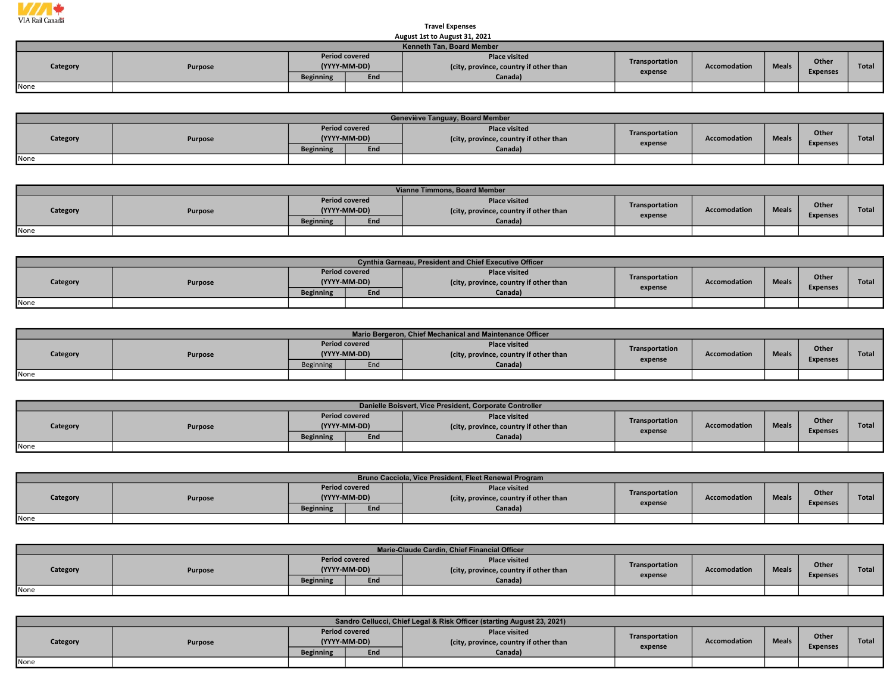

## Travel Expenses August 1st to August 31, 2021

|                           | AUGUSL ISL LU AUGUSL 31, ZUZI |                                       |     |                                                                |                                |  |  |                 |       |  |  |  |  |
|---------------------------|-------------------------------|---------------------------------------|-----|----------------------------------------------------------------|--------------------------------|--|--|-----------------|-------|--|--|--|--|
| Kenneth Tan, Board Member |                               |                                       |     |                                                                |                                |  |  |                 |       |  |  |  |  |
| Category                  | Purpose                       | <b>Period covered</b><br>(YYYY-MM-DD) |     | <b>Place visited</b><br>(city, province, country if other than | Transportation<br>Accomodation |  |  | Other           | Total |  |  |  |  |
|                           |                               | <b>Beginning</b>                      | End | Canada)                                                        | expense                        |  |  | <b>Expenses</b> |       |  |  |  |  |
| None                      |                               |                                       |     |                                                                |                                |  |  |                 |       |  |  |  |  |

|          | Geneviève Tanguay, Board Member |                                       |     |                                                                |                |                     |              |                 |              |  |  |  |  |
|----------|---------------------------------|---------------------------------------|-----|----------------------------------------------------------------|----------------|---------------------|--------------|-----------------|--------------|--|--|--|--|
| Category | Purpose                         | <b>Period covered</b><br>(YYYY-MM-DD) |     | <b>Place visited</b><br>(city, province, country if other than | Transportation | <b>Accomodation</b> | <b>Meals</b> | Other           | <b>Total</b> |  |  |  |  |
|          |                                 | <b>Beginning</b>                      | End | Canada)                                                        | expense        |                     |              | <b>Expenses</b> |              |  |  |  |  |
| None     |                                 |                                       |     |                                                                |                |                     |              |                 |              |  |  |  |  |

|          | Vianne Timmons, Board Member |                  |                                       |                                                                |                |                     |              |                          |              |  |  |  |  |  |
|----------|------------------------------|------------------|---------------------------------------|----------------------------------------------------------------|----------------|---------------------|--------------|--------------------------|--------------|--|--|--|--|--|
| Category | Purpose                      |                  | <b>Period covered</b><br>(YYYY-MM-DD) | <b>Place visited</b><br>(city, province, country if other than | Transportation | <b>Accomodation</b> | <b>Meals</b> | Other<br><b>Expenses</b> | <b>Total</b> |  |  |  |  |  |
|          |                              | <b>Beginning</b> | End                                   | Canada)                                                        | expense        |                     |              |                          |              |  |  |  |  |  |
| None     |                              |                  |                                       |                                                                |                |                     |              |                          |              |  |  |  |  |  |

|          | <b>Cynthia Garneau, President and Chief Executive Officer</b> |                       |              |                                                                |                |                     |              |                 |              |  |  |  |  |
|----------|---------------------------------------------------------------|-----------------------|--------------|----------------------------------------------------------------|----------------|---------------------|--------------|-----------------|--------------|--|--|--|--|
| Category | Purpose                                                       | <b>Period covered</b> | (YYYY-MM-DD) | <b>Place visited</b><br>(city, province, country if other than | Transportation | <b>Accomodation</b> | <b>Meals</b> | Other           | <b>Total</b> |  |  |  |  |
|          |                                                               | <b>Beginning</b>      | End          | Canada)                                                        | expense        |                     |              | <b>Expenses</b> |              |  |  |  |  |
| None     |                                                               |                       |              |                                                                |                |                     |              |                 |              |  |  |  |  |

|          |         |                                       |     | Mario Bergeron, Chief Mechanical and Maintenance Officer       |                |              |              |                 |       |
|----------|---------|---------------------------------------|-----|----------------------------------------------------------------|----------------|--------------|--------------|-----------------|-------|
| Category | Purpose | <b>Period covered</b><br>(YYYY-MM-DD) |     | <b>Place visited</b><br>(city, province, country if other than | Transportation | Accomodation | <b>Meals</b> | <b>Other</b>    | Total |
|          |         | <b>Beginning</b>                      | End | Canada)                                                        | expense        |              |              | <b>Expenses</b> |       |
| None     |         |                                       |     |                                                                |                |              |              |                 |       |

|          | Danielle Boisvert, Vice President, Corporate Controller |                       |              |                                                                |                |                     |              |                 |       |  |  |  |  |  |
|----------|---------------------------------------------------------|-----------------------|--------------|----------------------------------------------------------------|----------------|---------------------|--------------|-----------------|-------|--|--|--|--|--|
| Category | Purpose                                                 | <b>Period covered</b> | (YYYY-MM-DD) | <b>Place visited</b><br>(city, province, country if other than | Transportation | <b>Accomodation</b> | <b>Meals</b> | Other           | Total |  |  |  |  |  |
|          |                                                         | <b>Beginning</b>      | End          | Canada)                                                        | expense        |                     |              | <b>Expenses</b> |       |  |  |  |  |  |
| None     |                                                         |                       |              |                                                                |                |                     |              |                 |       |  |  |  |  |  |

|          |         |                                       |     | Bruno Cacciola, Vice President, Fleet Renewal Program          |                |                     |              |                 |              |
|----------|---------|---------------------------------------|-----|----------------------------------------------------------------|----------------|---------------------|--------------|-----------------|--------------|
| Category | Purpose | <b>Period covered</b><br>(YYYY-MM-DD) |     | <b>Place visited</b><br>(city, province, country if other than | Transportation | <b>Accomodation</b> | <b>Meals</b> | Other           | <b>Total</b> |
|          |         | <b>Beginning</b>                      | End | Canada)                                                        | expense        |                     |              | <b>Expenses</b> |              |
| None     |         |                                       |     |                                                                |                |                     |              |                 |              |

|                            |                                       |     | Marie-Claude Cardin, Chief Financial Officer                   |                |              |              |                 |              |
|----------------------------|---------------------------------------|-----|----------------------------------------------------------------|----------------|--------------|--------------|-----------------|--------------|
| Category<br><b>Purpose</b> | <b>Period covered</b><br>(YYYY-MM-DD) |     | <b>Place visited</b><br>(city, province, country if other than | Transportation | Accomodation | <b>Meals</b> | Other           | <b>Total</b> |
|                            | <b>Beginning</b>                      | End | Canada)                                                        | expense        |              |              | <b>Expenses</b> |              |
| None                       |                                       |     |                                                                |                |              |              |                 |              |

|          | Sandro Cellucci, Chief Legal & Risk Officer (starting August 23, 2021) |                                       |     |                                                                |                           |                     |              |                          |              |  |  |
|----------|------------------------------------------------------------------------|---------------------------------------|-----|----------------------------------------------------------------|---------------------------|---------------------|--------------|--------------------------|--------------|--|--|
| Category | Purpose                                                                | <b>Period covered</b><br>(YYYY-MM-DD) |     | <b>Place visited</b><br>(city, province, country if other than | Transportation<br>expense | <b>Accomodation</b> | <b>Meals</b> | Other<br><b>Expenses</b> | <b>Total</b> |  |  |
|          |                                                                        | <b>Beginning</b>                      | End | Canada)                                                        |                           |                     |              |                          |              |  |  |
| None     |                                                                        |                                       |     |                                                                |                           |                     |              |                          |              |  |  |